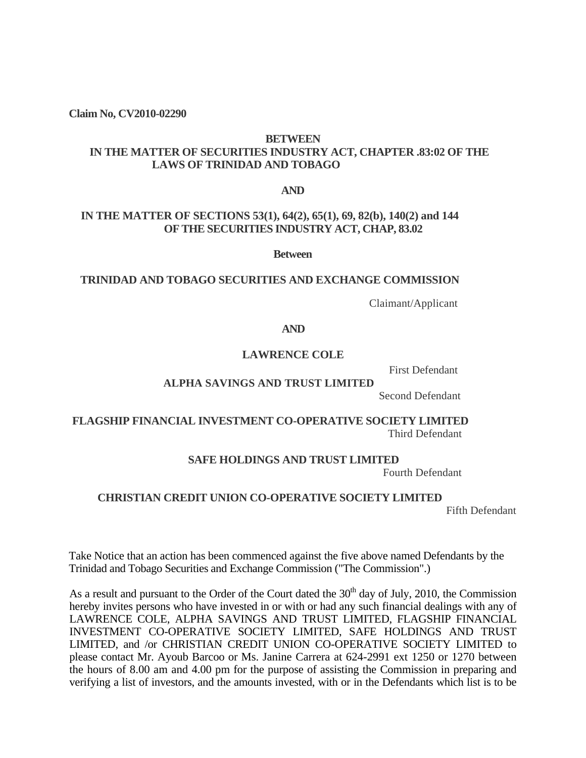**Claim No, CV2010-02290**

#### **BETWEEN**

# **IN THE MATTER OF SECURITIES INDUSTRY ACT, CHAPTER .83:02 OF THE LAWS OF TRINIDAD AND TOBAGO**

**AND**

# **IN THE MATTER OF SECTIONS 53(1), 64(2), 65(1), 69, 82(b), 140(2) and 144 OF THE SECURITIES INDUSTRY ACT, CHAP, 83.02**

**Between**

### **TRINIDAD AND TOBAGO SECURITIES AND EXCHANGE COMMISSION**

Claimant/Applicant

**AND**

### **LAWRENCE COLE**

First Defendant

### **ALPHA SAVINGS AND TRUST LIMITED**

Second Defendant

## **FLAGSHIP FINANCIAL INVESTMENT CO-OPERATIVE SOCIETY LIMITED** Third Defendant

### **SAFE HOLDINGS AND TRUST LIMITED**

Fourth Defendant

### **CHRISTIAN CREDIT UNION CO-OPERATIVE SOCIETY LIMITED**

Fifth Defendant

Take Notice that an action has been commenced against the five above named Defendants by the Trinidad and Tobago Securities and Exchange Commission ("The Commission".)

As a result and pursuant to the Order of the Court dated the  $30<sup>th</sup>$  day of July, 2010, the Commission hereby invites persons who have invested in or with or had any such financial dealings with any of LAWRENCE COLE, ALPHA SAVINGS AND TRUST LIMITED, FLAGSHIP FINANCIAL INVESTMENT CO-OPERATIVE SOCIETY LIMITED, SAFE HOLDINGS AND TRUST LIMITED, and /or CHRISTIAN CREDIT UNION CO-OPERATIVE SOCIETY LIMITED to please contact Mr. Ayoub Barcoo or Ms. Janine Carrera at 624-2991 ext 1250 or 1270 between the hours of 8.00 am and 4.00 pm for the purpose of assisting the Commission in preparing and verifying a list of investors, and the amounts invested, with or in the Defendants which list is to be